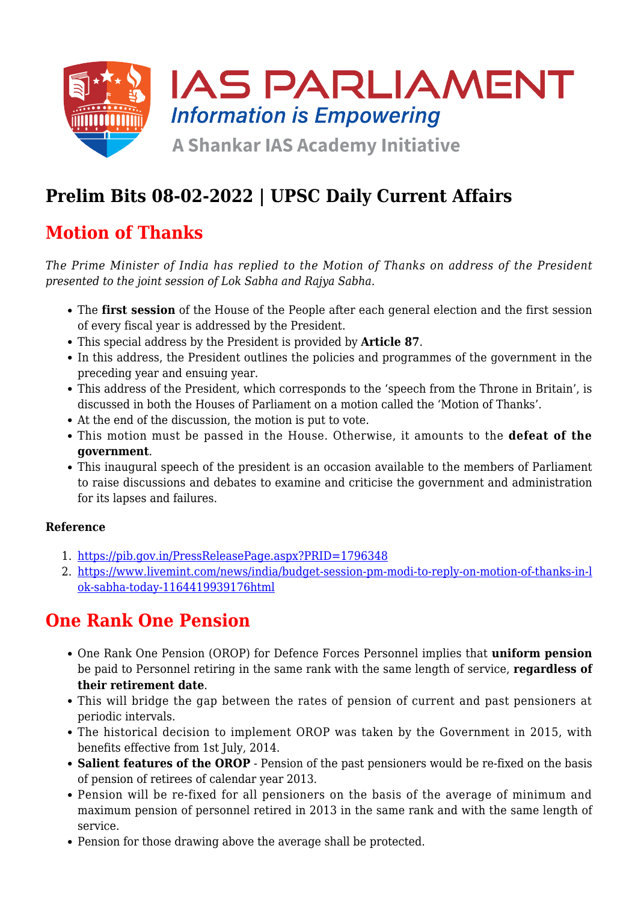

# **Prelim Bits 08-02-2022 | UPSC Daily Current Affairs**

## **Motion of Thanks**

*The Prime Minister of India has replied to the Motion of Thanks on address of the President presented to the joint session of Lok Sabha and Rajya Sabha.*

- The **first session** of the House of the People after each general election and the first session of every fiscal year is addressed by the President.
- This special address by the President is provided by **Article 87**.
- In this address, the President outlines the policies and programmes of the government in the preceding year and ensuing year.
- This address of the President, which corresponds to the 'speech from the Throne in Britain', is discussed in both the Houses of Parliament on a motion called the 'Motion of Thanks'.
- At the end of the discussion, the motion is put to vote.
- This motion must be passed in the House. Otherwise, it amounts to the **defeat of the government**.
- This inaugural speech of the president is an occasion available to the members of Parliament to raise discussions and debates to examine and criticise the government and administration for its lapses and failures.

### **Reference**

- 1. <https://pib.gov.in/PressReleasePage.aspx?PRID=1796348>
- 2. [https://www.livemint.com/news/india/budget-session-pm-modi-to-reply-on-motion-of-thanks-in-l](https://www.livemint.com/news/india/budget-session-pm-modi-to-reply-on-motion-of-thanks-in-lok-sabha-today-11644199391762.html) [ok-sabha-today-1164419939176html](https://www.livemint.com/news/india/budget-session-pm-modi-to-reply-on-motion-of-thanks-in-lok-sabha-today-11644199391762.html)

## **One Rank One Pension**

- One Rank One Pension (OROP) for Defence Forces Personnel implies that **uniform pension** be paid to Personnel retiring in the same rank with the same length of service, **regardless of their retirement date**.
- This will bridge the gap between the rates of pension of current and past pensioners at periodic intervals.
- The historical decision to implement OROP was taken by the Government in 2015, with benefits effective from 1st July, 2014.
- **Salient features of the OROP** Pension of the past pensioners would be re-fixed on the basis of pension of retirees of calendar year 2013.
- Pension will be re-fixed for all pensioners on the basis of the average of minimum and maximum pension of personnel retired in 2013 in the same rank and with the same length of service.
- Pension for those drawing above the average shall be protected.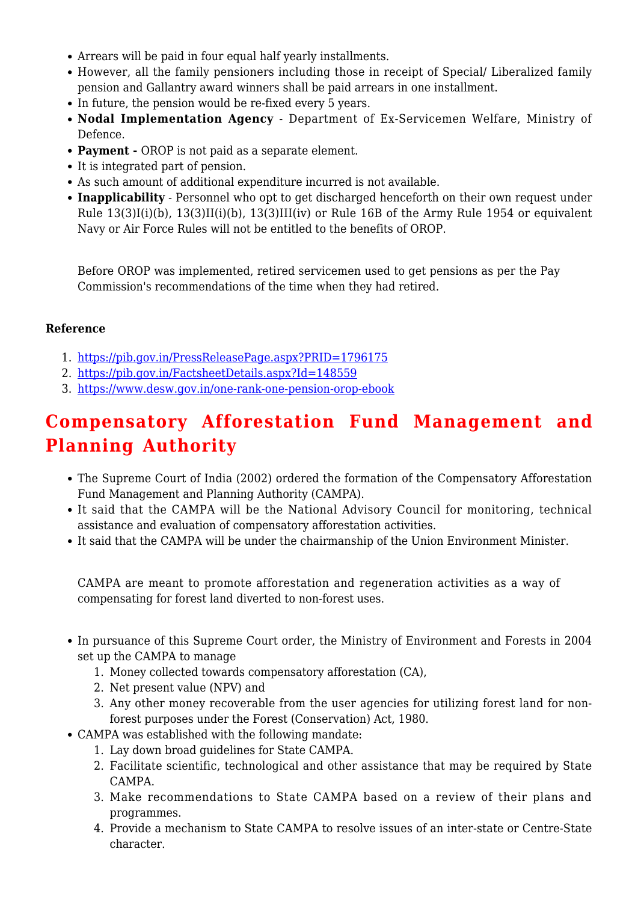- Arrears will be paid in four equal half yearly installments.
- However, all the family pensioners including those in receipt of Special/ Liberalized family pension and Gallantry award winners shall be paid arrears in one installment.
- In future, the pension would be re-fixed every 5 years.
- **Nodal Implementation Agency** Department of Ex-Servicemen Welfare, Ministry of Defence.
- **Payment** OROP is not paid as a separate element.
- It is integrated part of pension.
- As such amount of additional expenditure incurred is not available.
- **Inapplicability** Personnel who opt to get discharged henceforth on their own request under Rule  $13(3)I(i)(b)$ ,  $13(3)II(i)(b)$ ,  $13(3)III(iv)$  or Rule 16B of the Army Rule 1954 or equivalent Navy or Air Force Rules will not be entitled to the benefits of OROP.

Before OROP was implemented, retired servicemen used to get pensions as per the Pay Commission's recommendations of the time when they had retired.

### **Reference**

- 1. <https://pib.gov.in/PressReleasePage.aspx?PRID=1796175>
- 2. <https://pib.gov.in/FactsheetDetails.aspx?Id=148559>
- 3. <https://www.desw.gov.in/one-rank-one-pension-orop-ebook>

## **Compensatory Afforestation Fund Management and Planning Authority**

- The Supreme Court of India (2002) ordered the formation of the Compensatory Afforestation Fund Management and Planning Authority (CAMPA).
- It said that the CAMPA will be the National Advisory Council for monitoring, technical assistance and evaluation of compensatory afforestation activities.
- It said that the CAMPA will be under the chairmanship of the Union Environment Minister.

CAMPA are meant to promote afforestation and regeneration activities as a way of compensating for forest land diverted to non-forest uses.

- In pursuance of this Supreme Court order, the Ministry of Environment and Forests in 2004 set up the CAMPA to manage
	- 1. Money collected towards compensatory afforestation (CA),
	- 2. Net present value (NPV) and
	- 3. Any other money recoverable from the user agencies for utilizing forest land for nonforest purposes under the Forest (Conservation) Act, 1980.
- CAMPA was established with the following mandate:
	- 1. Lay down broad guidelines for State CAMPA.
	- 2. Facilitate scientific, technological and other assistance that may be required by State CAMPA.
	- 3. Make recommendations to State CAMPA based on a review of their plans and programmes.
	- 4. Provide a mechanism to State CAMPA to resolve issues of an inter-state or Centre-State character.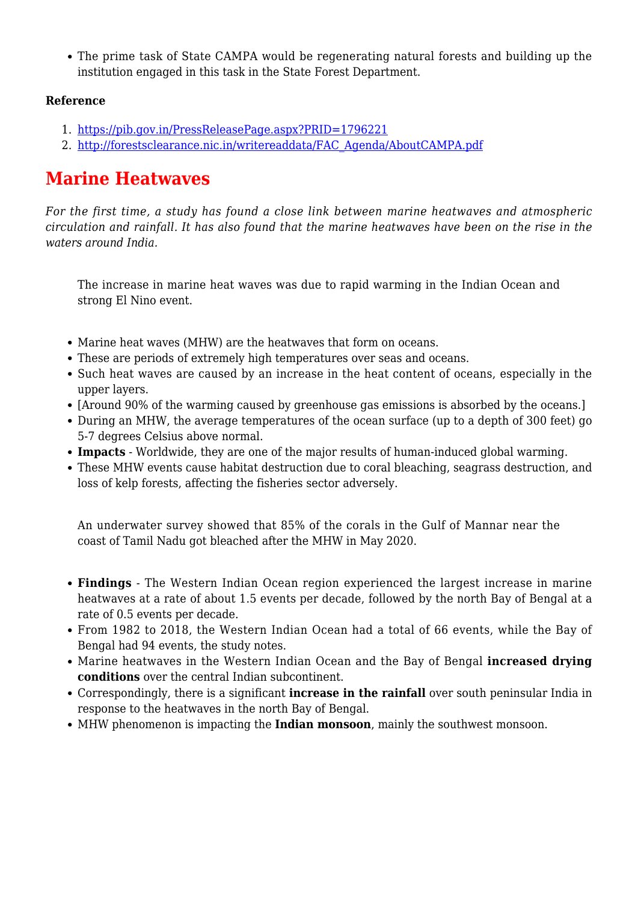• The prime task of State CAMPA would be regenerating natural forests and building up the institution engaged in this task in the State Forest Department.

### **Reference**

- 1. <https://pib.gov.in/PressReleasePage.aspx?PRID=1796221>
- 2. [http://forestsclearance.nic.in/writereaddata/FAC\\_Agenda/AboutCAMPA.pdf](http://forestsclearance.nic.in/writereaddata/FAC_Agenda/AboutCAMPA.pdf)

## **Marine Heatwaves**

*For the first time, a study has found a close link between marine heatwaves and atmospheric circulation and rainfall. It has also found that the marine heatwaves have been on the rise in the waters around India.*

The increase in marine heat waves was due to rapid warming in the Indian Ocean and strong El Nino event.

- Marine heat waves (MHW) are the heatwaves that form on oceans.
- These are periods of extremely high temperatures over seas and oceans.
- Such heat waves are caused by an increase in the heat content of oceans, especially in the upper layers.
- [Around 90% of the warming caused by greenhouse gas emissions is absorbed by the oceans.]
- During an MHW, the average temperatures of the ocean surface (up to a depth of 300 feet) go 5-7 degrees Celsius above normal.
- **Impacts** Worldwide, they are one of the major results of human-induced global warming.
- These MHW events cause habitat destruction due to coral bleaching, seagrass destruction, and loss of kelp forests, affecting the fisheries sector adversely.

An underwater survey showed that 85% of the corals in the Gulf of Mannar near the coast of Tamil Nadu got bleached after the MHW in May 2020.

- **Findings** The Western Indian Ocean region experienced the largest increase in marine heatwaves at a rate of about 1.5 events per decade, followed by the north Bay of Bengal at a rate of 0.5 events per decade.
- From 1982 to 2018, the Western Indian Ocean had a total of 66 events, while the Bay of Bengal had 94 events, the study notes.
- Marine heatwaves in the Western Indian Ocean and the Bay of Bengal **increased drying conditions** over the central Indian subcontinent.
- Correspondingly, there is a significant **increase in the rainfall** over south peninsular India in response to the heatwaves in the north Bay of Bengal.
- MHW phenomenon is impacting the **Indian monsoon**, mainly the southwest monsoon.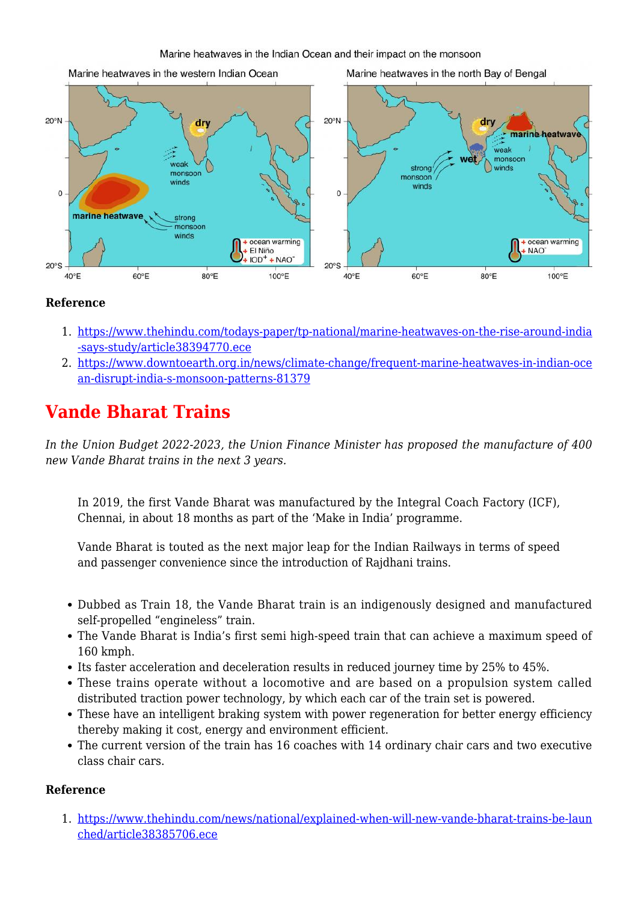

### **Reference**

- 1. [https://www.thehindu.com/todays-paper/tp-national/marine-heatwaves-on-the-rise-around-india](https://www.thehindu.com/todays-paper/tp-national/marine-heatwaves-on-the-rise-around-india-says-study/article38394770.ece) [-says-study/article38394770.ece](https://www.thehindu.com/todays-paper/tp-national/marine-heatwaves-on-the-rise-around-india-says-study/article38394770.ece)
- 2. [https://www.downtoearth.org.in/news/climate-change/frequent-marine-heatwaves-in-indian-oce](https://www.downtoearth.org.in/news/climate-change/frequent-marine-heatwaves-in-indian-ocean-disrupt-india-s-monsoon-patterns-81379) [an-disrupt-india-s-monsoon-patterns-81379](https://www.downtoearth.org.in/news/climate-change/frequent-marine-heatwaves-in-indian-ocean-disrupt-india-s-monsoon-patterns-81379)

## **Vande Bharat Trains**

*In the Union Budget 2022-2023, the Union Finance Minister has proposed the manufacture of 400 new Vande Bharat trains in the next 3 years.*

In 2019, the first Vande Bharat was manufactured by the Integral Coach Factory (ICF), Chennai, in about 18 months as part of the 'Make in India' programme.

Vande Bharat is touted as the next major leap for the Indian Railways in terms of speed and passenger convenience since the introduction of Rajdhani trains.

- Dubbed as Train 18, the Vande Bharat train is an indigenously designed and manufactured self-propelled "engineless" train.
- The Vande Bharat is India's first semi high-speed train that can achieve a maximum speed of 160 kmph.
- Its faster acceleration and deceleration results in reduced journey time by 25% to 45%.
- These trains operate without a locomotive and are based on a propulsion system called distributed traction power technology, by which each car of the train set is powered.
- These have an intelligent braking system with power regeneration for better energy efficiency thereby making it cost, energy and environment efficient.
- The current version of the train has 16 coaches with 14 ordinary chair cars and two executive class chair cars.

#### **Reference**

1. [https://www.thehindu.com/news/national/explained-when-will-new-vande-bharat-trains-be-laun](https://www.thehindu.com/news/national/explained-when-will-new-vande-bharat-trains-be-launched/article38385706.ece) [ched/article38385706.ece](https://www.thehindu.com/news/national/explained-when-will-new-vande-bharat-trains-be-launched/article38385706.ece)